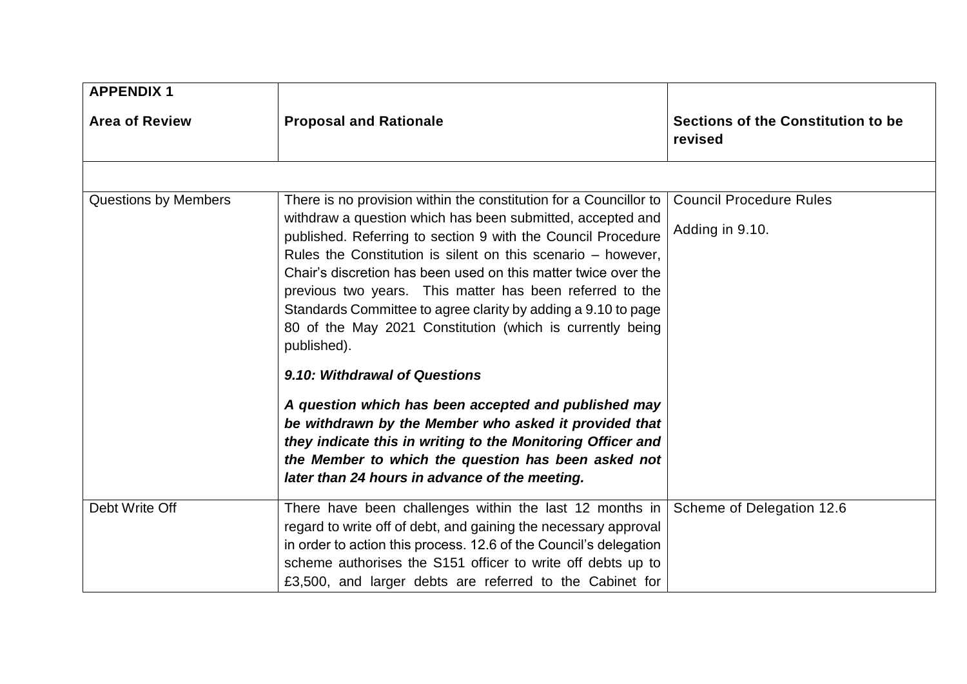| <b>APPENDIX 1</b>           |                                                                                                                                                                                                                                                                                                                                                                                                                                                                         |                                               |
|-----------------------------|-------------------------------------------------------------------------------------------------------------------------------------------------------------------------------------------------------------------------------------------------------------------------------------------------------------------------------------------------------------------------------------------------------------------------------------------------------------------------|-----------------------------------------------|
| <b>Area of Review</b>       | <b>Proposal and Rationale</b>                                                                                                                                                                                                                                                                                                                                                                                                                                           | Sections of the Constitution to be<br>revised |
|                             |                                                                                                                                                                                                                                                                                                                                                                                                                                                                         |                                               |
| <b>Questions by Members</b> | There is no provision within the constitution for a Councillor to                                                                                                                                                                                                                                                                                                                                                                                                       | <b>Council Procedure Rules</b>                |
|                             | withdraw a question which has been submitted, accepted and<br>published. Referring to section 9 with the Council Procedure<br>Rules the Constitution is silent on this scenario $-$ however,<br>Chair's discretion has been used on this matter twice over the<br>previous two years. This matter has been referred to the<br>Standards Committee to agree clarity by adding a 9.10 to page<br>80 of the May 2021 Constitution (which is currently being<br>published). | Adding in 9.10.                               |
|                             | 9.10: Withdrawal of Questions                                                                                                                                                                                                                                                                                                                                                                                                                                           |                                               |
|                             | A question which has been accepted and published may<br>be withdrawn by the Member who asked it provided that<br>they indicate this in writing to the Monitoring Officer and<br>the Member to which the question has been asked not<br>later than 24 hours in advance of the meeting.                                                                                                                                                                                   |                                               |
| Debt Write Off              | There have been challenges within the last 12 months in<br>regard to write off of debt, and gaining the necessary approval<br>in order to action this process. 12.6 of the Council's delegation<br>scheme authorises the S151 officer to write off debts up to<br>£3,500, and larger debts are referred to the Cabinet for                                                                                                                                              | Scheme of Delegation 12.6                     |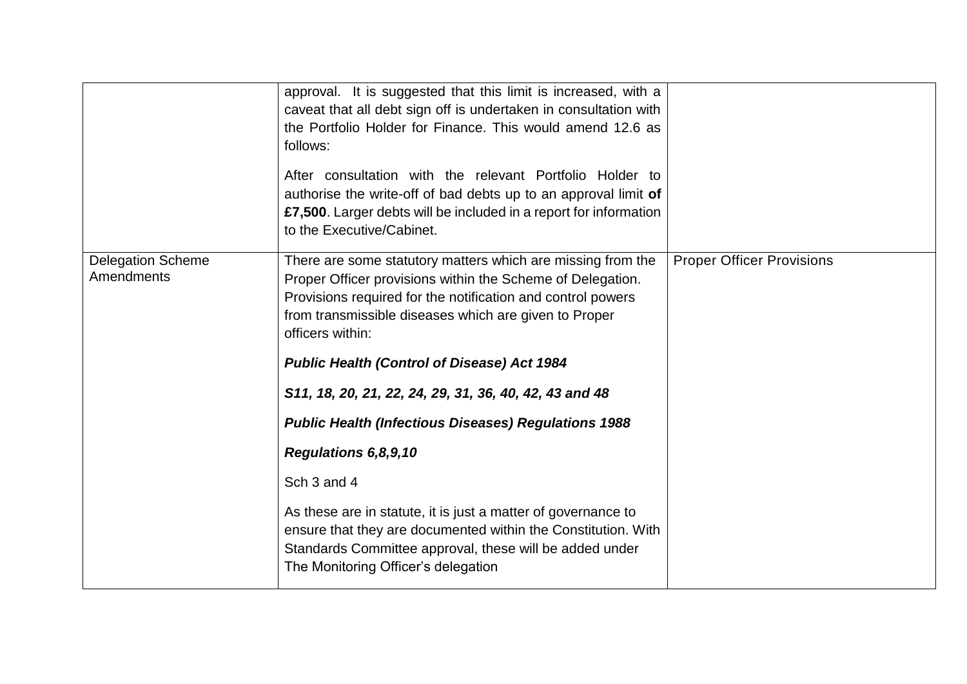|                                               | approval. It is suggested that this limit is increased, with a<br>caveat that all debt sign off is undertaken in consultation with<br>the Portfolio Holder for Finance. This would amend 12.6 as<br>follows:<br>After consultation with the relevant Portfolio Holder to<br>authorise the write-off of bad debts up to an approval limit of<br>£7,500. Larger debts will be included in a report for information<br>to the Executive/Cabinet. |                                  |
|-----------------------------------------------|-----------------------------------------------------------------------------------------------------------------------------------------------------------------------------------------------------------------------------------------------------------------------------------------------------------------------------------------------------------------------------------------------------------------------------------------------|----------------------------------|
| <b>Delegation Scheme</b><br><b>Amendments</b> | There are some statutory matters which are missing from the<br>Proper Officer provisions within the Scheme of Delegation.<br>Provisions required for the notification and control powers<br>from transmissible diseases which are given to Proper<br>officers within:                                                                                                                                                                         | <b>Proper Officer Provisions</b> |
|                                               | <b>Public Health (Control of Disease) Act 1984</b>                                                                                                                                                                                                                                                                                                                                                                                            |                                  |
|                                               | S11, 18, 20, 21, 22, 24, 29, 31, 36, 40, 42, 43 and 48                                                                                                                                                                                                                                                                                                                                                                                        |                                  |
|                                               | <b>Public Health (Infectious Diseases) Regulations 1988</b>                                                                                                                                                                                                                                                                                                                                                                                   |                                  |
|                                               | Regulations 6,8,9,10                                                                                                                                                                                                                                                                                                                                                                                                                          |                                  |
|                                               | Sch 3 and 4                                                                                                                                                                                                                                                                                                                                                                                                                                   |                                  |
|                                               | As these are in statute, it is just a matter of governance to<br>ensure that they are documented within the Constitution. With<br>Standards Committee approval, these will be added under<br>The Monitoring Officer's delegation                                                                                                                                                                                                              |                                  |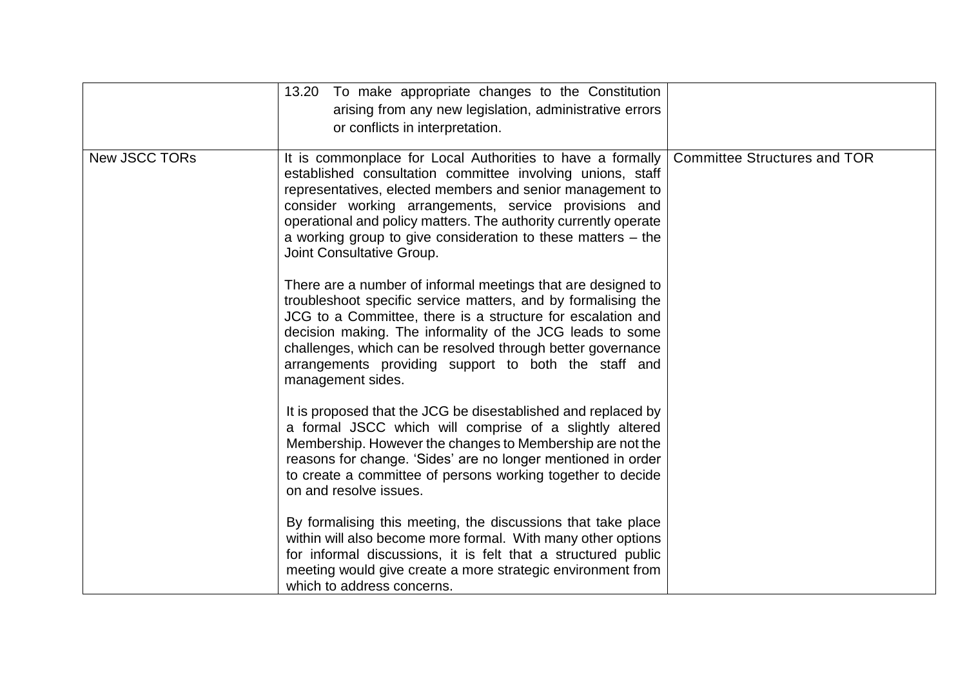|                      | To make appropriate changes to the Constitution<br>13.20<br>arising from any new legislation, administrative errors<br>or conflicts in interpretation.                                                                                                                                                                                                                                                           |                                     |
|----------------------|------------------------------------------------------------------------------------------------------------------------------------------------------------------------------------------------------------------------------------------------------------------------------------------------------------------------------------------------------------------------------------------------------------------|-------------------------------------|
| <b>New JSCC TORs</b> | It is commonplace for Local Authorities to have a formally<br>established consultation committee involving unions, staff<br>representatives, elected members and senior management to<br>consider working arrangements, service provisions and<br>operational and policy matters. The authority currently operate<br>a working group to give consideration to these matters $-$ the<br>Joint Consultative Group. | <b>Committee Structures and TOR</b> |
|                      | There are a number of informal meetings that are designed to<br>troubleshoot specific service matters, and by formalising the<br>JCG to a Committee, there is a structure for escalation and<br>decision making. The informality of the JCG leads to some<br>challenges, which can be resolved through better governance<br>arrangements providing support to both the staff and<br>management sides.            |                                     |
|                      | It is proposed that the JCG be disestablished and replaced by<br>a formal JSCC which will comprise of a slightly altered<br>Membership. However the changes to Membership are not the<br>reasons for change. 'Sides' are no longer mentioned in order<br>to create a committee of persons working together to decide<br>on and resolve issues.                                                                   |                                     |
|                      | By formalising this meeting, the discussions that take place<br>within will also become more formal. With many other options<br>for informal discussions, it is felt that a structured public<br>meeting would give create a more strategic environment from<br>which to address concerns.                                                                                                                       |                                     |